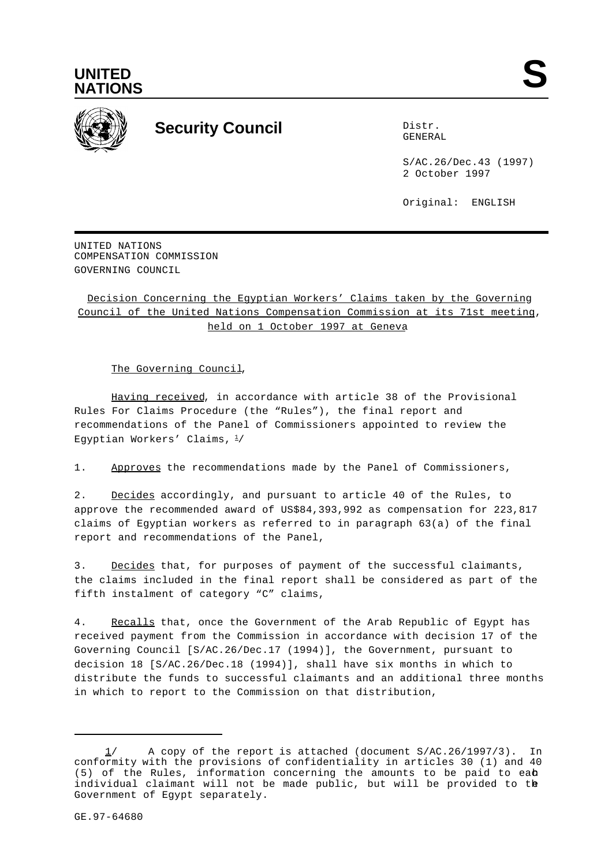



## **Security Council** Distribution Distribution

GENERAL

S/AC.26/Dec.43 (1997) 2 October 1997

Original: ENGLISH

UNITED NATIONS COMPENSATION COMMISSION GOVERNING COUNCIL

Decision Concerning the Egyptian Workers' Claims taken by the Governing Council of the United Nations Compensation Commission at its 71st meeting, held on 1 October 1997 at Geneva

The Governing Council,

Having received, in accordance with article 38 of the Provisional Rules For Claims Procedure (the "Rules"), the final report and recommendations of the Panel of Commissioners appointed to review the Egyptian Workers' Claims,  $\frac{1}{2}$ 

1. Approves the recommendations made by the Panel of Commissioners,

2. Decides accordingly, and pursuant to article 40 of the Rules, to approve the recommended award of US\$84,393,992 as compensation for 223,817 claims of Egyptian workers as referred to in paragraph 63(a) of the final report and recommendations of the Panel,

3. Decides that, for purposes of payment of the successful claimants, the claims included in the final report shall be considered as part of the fifth instalment of category "C" claims,

4. Recalls that, once the Government of the Arab Republic of Egypt has received payment from the Commission in accordance with decision 17 of the Governing Council [S/AC.26/Dec.17 (1994)], the Government, pursuant to decision 18 [S/AC.26/Dec.18 (1994)], shall have six months in which to distribute the funds to successful claimants and an additional three months in which to report to the Commission on that distribution,

 <sup>1/</sup> A copy of the report is attached (document S/AC.26/1997/3). In conformity with the provisions of confidentiality in articles 30 (1) and 40  $(5)$  of the Rules, information concerning the amounts to be paid to eab individual claimant will not be made public, but will be provided to the Government of Egypt separately.